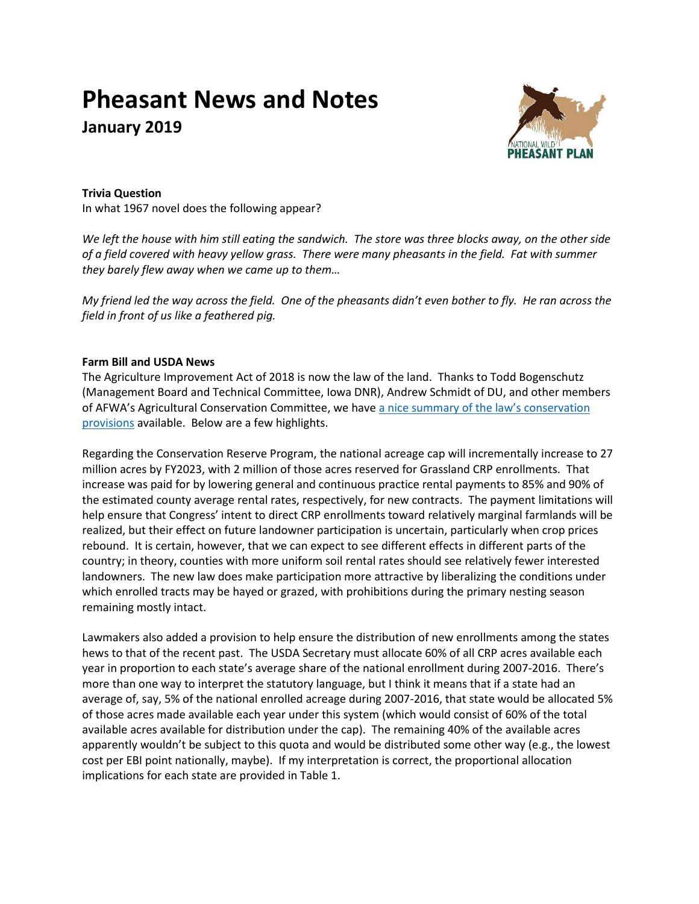# **Pheasant News and Notes January 2019**



## **Trivia Question**

In what 1967 novel does the following appear?

*We left the house with him still eating the sandwich. The store was three blocks away, on the other side of a field covered with heavy yellow grass. There were many pheasants in the field. Fat with summer they barely flew away when we came up to them…* 

*My friend led the way across the field. One of the pheasants didn't even bother to fly. He ran across the field in front of us like a feathered pig.*

## **Farm Bill and USDA News**

The Agriculture Improvement Act of 2018 is now the law of the land. Thanks to Todd Bogenschutz (Management Board and Technical Committee, Iowa DNR), Andrew Schmidt of DU, and other members of AFWA's Agricultural Conservation Committee, we have [a nice summary of the](http://nationalpheasantplan.org/wp-content/uploads/2019/01/Conservation-summary-of-2018-Farm-Bill-12-21-18-portrait.pdf) law's conservation [provisions](http://nationalpheasantplan.org/wp-content/uploads/2019/01/Conservation-summary-of-2018-Farm-Bill-12-21-18-portrait.pdf) available. Below are a few highlights.

Regarding the Conservation Reserve Program, the national acreage cap will incrementally increase to 27 million acres by FY2023, with 2 million of those acres reserved for Grassland CRP enrollments. That increase was paid for by lowering general and continuous practice rental payments to 85% and 90% of the estimated county average rental rates, respectively, for new contracts. The payment limitations will help ensure that Congress' intent to direct CRP enrollments toward relatively marginal farmlands will be realized, but their effect on future landowner participation is uncertain, particularly when crop prices rebound. It is certain, however, that we can expect to see different effects in different parts of the country; in theory, counties with more uniform soil rental rates should see relatively fewer interested landowners. The new law does make participation more attractive by liberalizing the conditions under which enrolled tracts may be hayed or grazed, with prohibitions during the primary nesting season remaining mostly intact.

Lawmakers also added a provision to help ensure the distribution of new enrollments among the states hews to that of the recent past. The USDA Secretary must allocate 60% of all CRP acres available each year in proportion to each state's average share of the national enrollment during 2007-2016. There's more than one way to interpret the statutory language, but I think it means that if a state had an average of, say, 5% of the national enrolled acreage during 2007-2016, that state would be allocated 5% of those acres made available each year under this system (which would consist of 60% of the total available acres available for distribution under the cap). The remaining 40% of the available acres apparently wouldn't be subject to this quota and would be distributed some other way (e.g., the lowest cost per EBI point nationally, maybe). If my interpretation is correct, the proportional allocation implications for each state are provided in Table 1.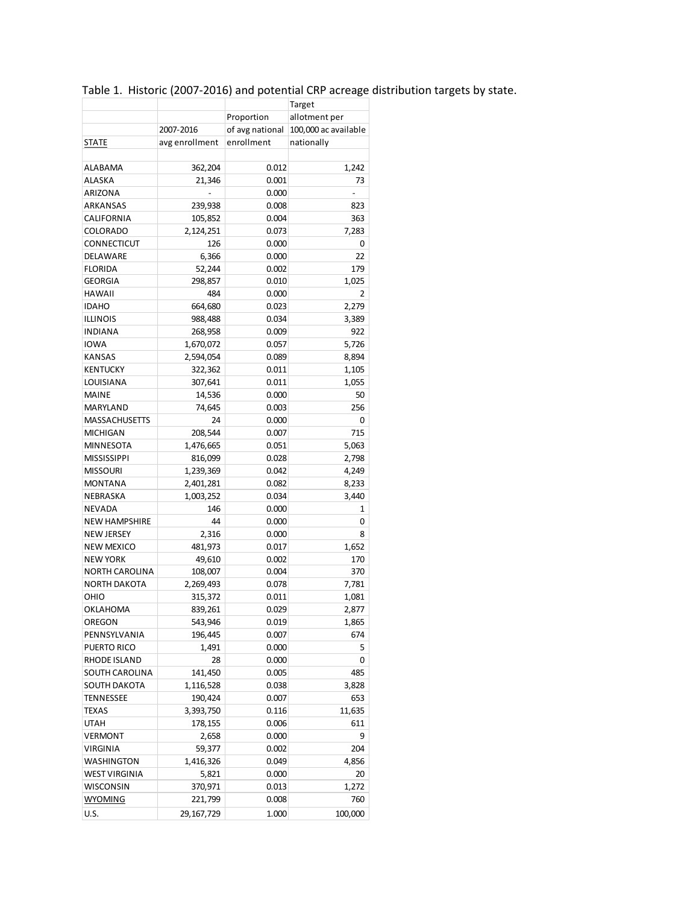|                       |                |                 | Target               |
|-----------------------|----------------|-----------------|----------------------|
|                       |                | Proportion      | allotment per        |
|                       | 2007-2016      | of avg national | 100,000 ac available |
| STATE                 | avg enrollment | enrollment      | nationally           |
|                       |                |                 |                      |
| ALABAMA               | 362,204        | 0.012           | 1,242                |
| ALASKA                | 21,346         | 0.001           | 73                   |
| ARIZONA               |                | 0.000           |                      |
| ARKANSAS              | 239,938        | 0.008           | 823                  |
| CALIFORNIA            | 105,852        | 0.004           | 363                  |
| <b>COLORADO</b>       | 2,124,251      | 0.073           | 7,283                |
| CONNECTICUT           | 126            | 0.000           | 0                    |
| DELAWARE              | 6,366          | 0.000           | 22                   |
| <b>FLORIDA</b>        | 52,244         | 0.002           | 179                  |
| <b>GEORGIA</b>        | 298,857        | 0.010           | 1,025                |
| <b>HAWAII</b>         | 484            | 0.000           | 2                    |
| <b>IDAHO</b>          |                | 0.023           |                      |
|                       | 664,680        |                 | 2,279                |
| <b>ILLINOIS</b>       | 988,488        | 0.034           | 3,389                |
| <b>INDIANA</b>        | 268,958        | 0.009           | 922                  |
| <b>IOWA</b>           | 1,670,072      | 0.057           | 5,726                |
| <b>KANSAS</b>         | 2,594,054      | 0.089           | 8,894                |
| <b>KENTUCKY</b>       | 322,362        | 0.011           | 1,105                |
| LOUISIANA             | 307,641        | 0.011           | 1,055                |
| <b>MAINE</b>          | 14,536         | 0.000           | 50                   |
| MARYLAND              | 74,645         | 0.003           | 256                  |
| MASSACHUSETTS         | 24             | 0.000           | 0                    |
| <b>MICHIGAN</b>       | 208,544        | 0.007           | 715                  |
| MINNESOTA             | 1,476,665      | 0.051           | 5,063                |
| <b>MISSISSIPPI</b>    | 816,099        | 0.028           | 2,798                |
| <b>MISSOURI</b>       | 1,239,369      | 0.042           | 4,249                |
| <b>MONTANA</b>        | 2,401,281      | 0.082           | 8,233                |
| NEBRASKA              | 1,003,252      | 0.034           | 3,440                |
| NEVADA                | 146            | 0.000           | 1                    |
| <b>NEW HAMPSHIRE</b>  | 44             | 0.000           | 0                    |
| <b>NEW JERSEY</b>     | 2,316          | 0.000           | 8                    |
| <b>NEW MEXICO</b>     | 481,973        | 0.017           | 1,652                |
| <b>NEW YORK</b>       | 49,610         | 0.002           | 170                  |
| <b>NORTH CAROLINA</b> | 108,007        | 0.004           | 370                  |
| <b>NORTH DAKOTA</b>   | 2,269,493      | 0.078           | 7,781                |
| OHIO                  | 315,372        | 0.011           | 1,081                |
| OKLAHOMA              | 839,261        | 0.029           | 2,877                |
| OREGON                | 543,946        | 0.019           | 1,865                |
| PENNSYLVANIA          | 196,445        | 0.007           | 674                  |
| PUERTO RICO           | 1,491          | 0.000           | 5                    |
| RHODE ISLAND          | 28             | 0.000           | 0                    |
| SOUTH CAROLINA        | 141,450        | 0.005           | 485                  |
| <b>SOUTH DAKOTA</b>   | 1,116,528      | 0.038           | 3,828                |
| TENNESSEE             | 190,424        | 0.007           | 653                  |
| TEXAS                 | 3,393,750      | 0.116           | 11,635               |
| UTAH                  | 178,155        | 0.006           | 611                  |
| VERMONT               | 2,658          | 0.000           | 9                    |
| VIRGINIA              | 59,377         | 0.002           | 204                  |
| WASHINGTON            | 1,416,326      | 0.049           | 4,856                |
| <b>WEST VIRGINIA</b>  | 5,821          | 0.000           | 20                   |
|                       |                |                 |                      |
| WISCONSIN             | 370,971        | 0.013           | 1,272                |
| <b>WYOMING</b>        | 221,799        | 0.008           | 760                  |
| U.S.                  | 29,167,729     | 1.000           | 100,000              |

## Table 1. Historic (2007-2016) and potential CRP acreage distribution targets by state.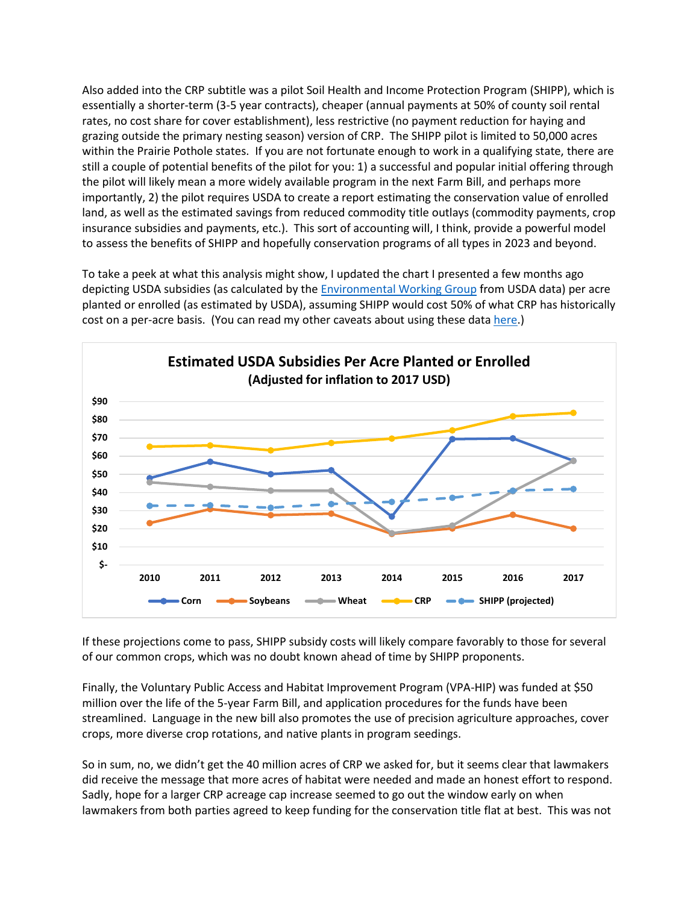Also added into the CRP subtitle was a pilot Soil Health and Income Protection Program (SHIPP), which is essentially a shorter-term (3-5 year contracts), cheaper (annual payments at 50% of county soil rental rates, no cost share for cover establishment), less restrictive (no payment reduction for haying and grazing outside the primary nesting season) version of CRP. The SHIPP pilot is limited to 50,000 acres within the Prairie Pothole states. If you are not fortunate enough to work in a qualifying state, there are still a couple of potential benefits of the pilot for you: 1) a successful and popular initial offering through the pilot will likely mean a more widely available program in the next Farm Bill, and perhaps more importantly, 2) the pilot requires USDA to create a report estimating the conservation value of enrolled land, as well as the estimated savings from reduced commodity title outlays (commodity payments, crop insurance subsidies and payments, etc.). This sort of accounting will, I think, provide a powerful model to assess the benefits of SHIPP and hopefully conservation programs of all types in 2023 and beyond.

To take a peek at what this analysis might show, I updated the chart I presented a few months ago depicting USDA subsidies (as calculated by the [Environmental Working Group](https://farm.ewg.org/) from USDA data) per acre planted or enrolled (as estimated by USDA), assuming SHIPP would cost 50% of what CRP has historically cost on a per-acre basis. (You can read my other caveats about using these dat[a here.](http://nationalpheasantplan.org/wp-content/uploads/2018/08/Pheasant-news-and-notes-Sep-18.pdf))



If these projections come to pass, SHIPP subsidy costs will likely compare favorably to those for several of our common crops, which was no doubt known ahead of time by SHIPP proponents.

Finally, the Voluntary Public Access and Habitat Improvement Program (VPA-HIP) was funded at \$50 million over the life of the 5-year Farm Bill, and application procedures for the funds have been streamlined. Language in the new bill also promotes the use of precision agriculture approaches, cover crops, more diverse crop rotations, and native plants in program seedings.

So in sum, no, we didn't get the 40 million acres of CRP we asked for, but it seems clear that lawmakers did receive the message that more acres of habitat were needed and made an honest effort to respond. Sadly, hope for a larger CRP acreage cap increase seemed to go out the window early on when lawmakers from both parties agreed to keep funding for the conservation title flat at best. This was not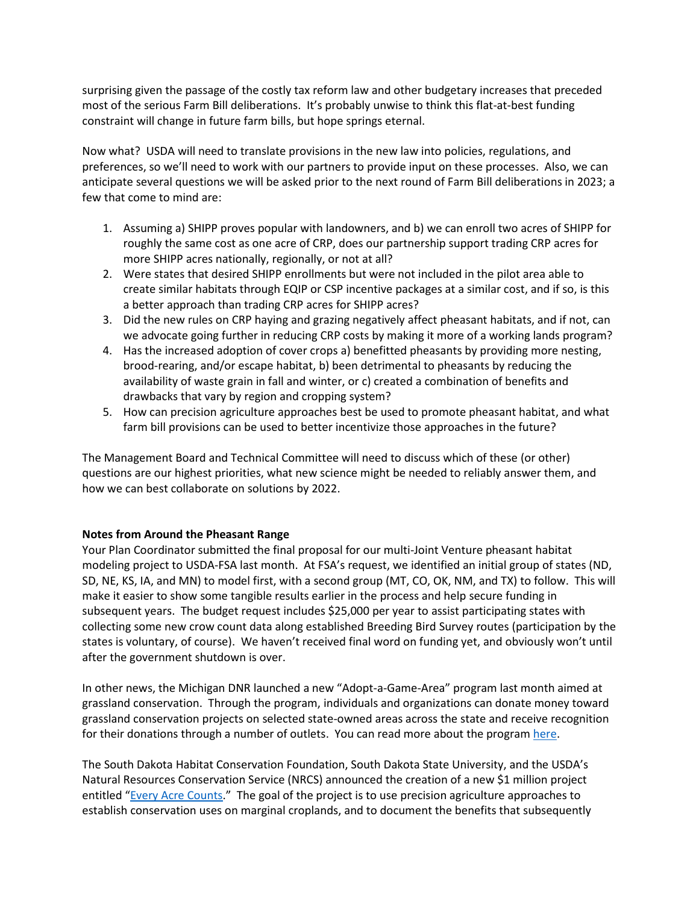surprising given the passage of the costly tax reform law and other budgetary increases that preceded most of the serious Farm Bill deliberations. It's probably unwise to think this flat-at-best funding constraint will change in future farm bills, but hope springs eternal.

Now what? USDA will need to translate provisions in the new law into policies, regulations, and preferences, so we'll need to work with our partners to provide input on these processes. Also, we can anticipate several questions we will be asked prior to the next round of Farm Bill deliberations in 2023; a few that come to mind are:

- 1. Assuming a) SHIPP proves popular with landowners, and b) we can enroll two acres of SHIPP for roughly the same cost as one acre of CRP, does our partnership support trading CRP acres for more SHIPP acres nationally, regionally, or not at all?
- 2. Were states that desired SHIPP enrollments but were not included in the pilot area able to create similar habitats through EQIP or CSP incentive packages at a similar cost, and if so, is this a better approach than trading CRP acres for SHIPP acres?
- 3. Did the new rules on CRP haying and grazing negatively affect pheasant habitats, and if not, can we advocate going further in reducing CRP costs by making it more of a working lands program?
- 4. Has the increased adoption of cover crops a) benefitted pheasants by providing more nesting, brood-rearing, and/or escape habitat, b) been detrimental to pheasants by reducing the availability of waste grain in fall and winter, or c) created a combination of benefits and drawbacks that vary by region and cropping system?
- 5. How can precision agriculture approaches best be used to promote pheasant habitat, and what farm bill provisions can be used to better incentivize those approaches in the future?

The Management Board and Technical Committee will need to discuss which of these (or other) questions are our highest priorities, what new science might be needed to reliably answer them, and how we can best collaborate on solutions by 2022.

## **Notes from Around the Pheasant Range**

Your Plan Coordinator submitted the final proposal for our multi-Joint Venture pheasant habitat modeling project to USDA-FSA last month. At FSA's request, we identified an initial group of states (ND, SD, NE, KS, IA, and MN) to model first, with a second group (MT, CO, OK, NM, and TX) to follow. This will make it easier to show some tangible results earlier in the process and help secure funding in subsequent years. The budget request includes \$25,000 per year to assist participating states with collecting some new crow count data along established Breeding Bird Survey routes (participation by the states is voluntary, of course). We haven't received final word on funding yet, and obviously won't until after the government shutdown is over.

In other news, the Michigan DNR launched a new "Adopt-a-Game-Area" program last month aimed at grassland conservation. Through the program, individuals and organizations can donate money toward grassland conservation projects on selected state-owned areas across the state and receive recognition for their donations through a number of outlets. You can read more about the program [here.](https://www.michigan.gov/dnr/0,4570,7-350-79136_79608_83992-473361--,00.html)

The South Dakota Habitat Conservation Foundation, South Dakota State University, and the USDA's Natural Resources Conservation Service (NRCS) announced the creation of a new \$1 million project entitled "[Every Acre Counts](https://gfp.sd.gov/news/detail/1213/)." The goal of the project is to use precision agriculture approaches to establish conservation uses on marginal croplands, and to document the benefits that subsequently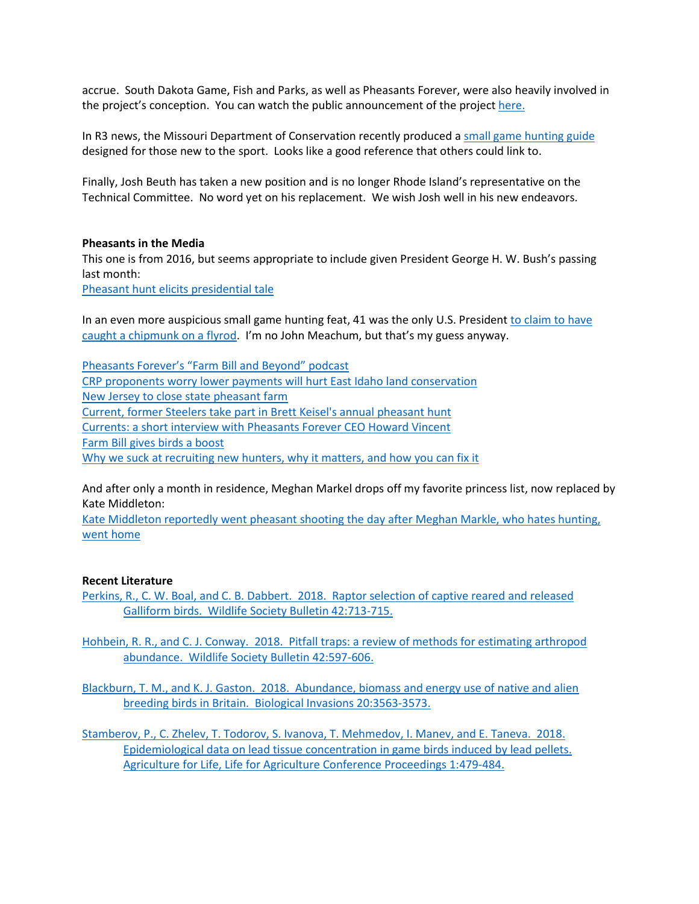accrue. South Dakota Game, Fish and Parks, as well as Pheasants Forever, were also heavily involved in the project's conception. You can watch the public announcement of the projec[t here.](https://www.youtube.com/watch?v=_FSdl2QKbUo)

In R3 news, the Missouri Department of Conservation recently produced a [small game hunting guide](https://huntfish.mdc.mo.gov/sites/default/files/downloads/SmallGameHuntingProspects.pdf) designed for those new to the sport. Looks like a good reference that others could link to.

Finally, Josh Beuth has taken a new position and is no longer Rhode Island's representative on the Technical Committee. No word yet on his replacement. We wish Josh well in his new endeavors.

#### **Pheasants in the Media**

This one is from 2016, but seems appropriate to include given President George H. W. Bush's passing last month:

[Pheasant hunt elicits presidential tale](https://bismarcktribune.com/news/columnists/brian-gehring/pheasant-hunt-elicits-presidential-tale/article_22a05cac-18fe-5dd6-8877-385bd70bf29d.html)

In an even more auspicious small game hunting feat, 41 was the only U.S. President [to claim to have](https://www.forbes.com/sites/monteburke/2018/12/01/george-h-w-bush-was-the-most-sporting-president-in-u-s-history/#52583984220f)  caught [a chipmunk on a flyrod.](https://www.forbes.com/sites/monteburke/2018/12/01/george-h-w-bush-was-the-most-sporting-president-in-u-s-history/#52583984220f) I'm no John Meachum, but that's my guess anyway.

[Pheasants Forever's "](https://pheasantsforever.org/BlogLanding/Blogs/Pheasants-Forever/Podcast-The-Farm-Bill-and-Beyond-Creating-Upland-H.aspx?_cldee=YWhhdWNrQHBoZWFzYW50c2ZvcmV2ZXIub3Jn&recipientid=contact-d35e92655d3de811a833000d3a37cc26-942f0a151a384e56855c8f9b7e418f8e&esid=d6ff6e04-6404-e911-a84a-000d3a37c740)Farm Bill and Beyond" podcast [CRP proponents worry lower payments will hurt East Idaho land conservation](https://www.idahostatejournal.com/news/local/crp-proponents-worry-lower-payments-will-hurt-east-idaho-land/article_dd829bbe-b2db-5c8c-8873-e789485cb799.html) [New Jersey to close state pheasant farm](https://www.nj.com/news/2018/12/nj-has-bred-birds-for-hunting-since-the-1920s-now-the-state-says-its-cheaper-to-buy-them.html) [Current, former Steelers take part in Brett Keisel's annual pheasant hunt](https://247sports.com/nfl/pittsburgh-steelers/Article/Current-former-Steelers-take-part-in-Brett-Keisels-annual-hunt-125041035/) [Currents: a short interview with Pheasants Forever](http://www.startribune.com/currents-howard-vincent-pheasants-forever-chief-executive/502084001/) CEO Howard Vincent [Farm Bill gives birds a boost](https://flatheadbeacon.com/2018/12/19/farm-bill-gives-birds-boost/) [Why we suck at recruiting new hunters, why it matters, and how you can fix it](https://www.outdoorlife.com/why-we-are-losing-hunters-and-how-to-fix-it?src=SOC&dom=fb)

And after only a month in residence, Meghan Markel drops off my favorite princess list, now replaced by Kate Middleton:

[Kate Middleton reportedly went pheasant shooting the day after Meghan Markle, who hates hunting,](https://www.thisisinsider.com/kate-middleton-went-pheasant-shooting-after-meghan-went-home-report-2018-12)  [went home](https://www.thisisinsider.com/kate-middleton-went-pheasant-shooting-after-meghan-went-home-report-2018-12)

## **Recent Literature**

- [Perkins, R., C. W. Boal, and C. B. Dabbert. 2018. Raptor selection of captive reared](https://wildlife.onlinelibrary.wiley.com/doi/abs/10.1002/wsb.925) and released [Galliform birds. Wildlife Society Bulletin 42:713-715.](https://wildlife.onlinelibrary.wiley.com/doi/abs/10.1002/wsb.925)
- [Hohbein, R. R., and C. J. Conway. 2018. Pitfall traps: a review of methods for estimating arthropod](https://wildlife.onlinelibrary.wiley.com/doi/10.1002/wsb.928)  [abundance. Wildlife Society Bulletin](https://wildlife.onlinelibrary.wiley.com/doi/10.1002/wsb.928) 42:597-606.

Blackburn, T. [M., and K. J. Gaston. 2018. Abundance, biomass and energy use of native and alien](https://link.springer.com/article/10.1007%2Fs10530-018-1795-z)  [breeding birds in Britain. Biological Invasions](https://link.springer.com/article/10.1007%2Fs10530-018-1795-z) 20:3563-3573.

[Stamberov, P., C. Zhelev, T. Todorov, S. Ivanova, T. Mehmedov, I. Manev, and E. Taneva. 2018.](https://doi.org/10.2478/alife-2018-0075)  [Epidemiological data on lead tissue concentration in game birds induced by lead pellets.](https://doi.org/10.2478/alife-2018-0075)  [Agriculture for Life, Life for Agriculture Conference Proceedings 1:479-484.](https://doi.org/10.2478/alife-2018-0075)